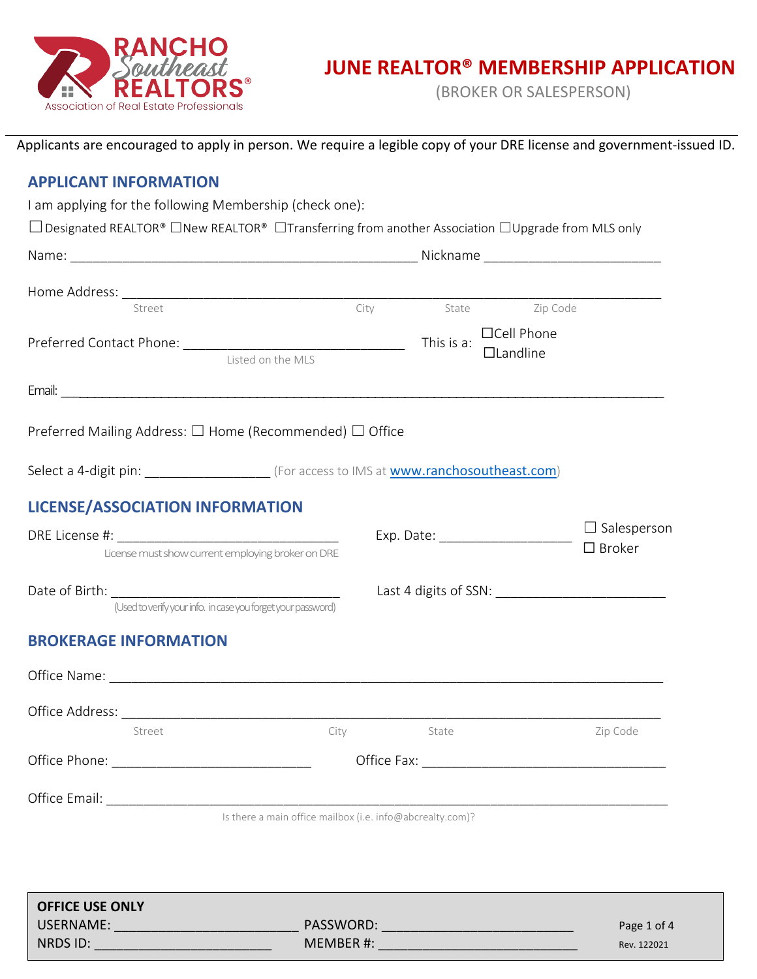

(BROKER OR SALESPERSON)

Applicants are encouraged to apply in person. We require a legible copy of your DRE license and government-issued ID.

# **APPLICANT INFORMATION**

I am applying for the following Membership (check one):

☐Designated REALTOR® ☐New REALTOR® ☐Transferring from another Association ☐Upgrade from MLS only

| Street                                                                                       |                                                              |            | City State Zip Code            |                                        |
|----------------------------------------------------------------------------------------------|--------------------------------------------------------------|------------|--------------------------------|----------------------------------------|
|                                                                                              | Listed on the MLS                                            |            | □Cell Phone<br>$\Box$ Landline |                                        |
|                                                                                              |                                                              |            |                                |                                        |
| Preferred Mailing Address: □ Home (Recommended) □ Office                                     |                                                              |            |                                |                                        |
| Select a 4-digit pin: _______________________ (For access to IMS at www.ranchosoutheast.com) |                                                              |            |                                |                                        |
| <b>LICENSE/ASSOCIATION INFORMATION</b>                                                       |                                                              |            |                                |                                        |
|                                                                                              | License must show current employing broker on DRE            |            |                                | $\Box$ Salesperson<br>$\square$ Broker |
| Date of Birth: The Contract of Birth:                                                        | (Used to verify your info. in case you forget your password) |            |                                | Last 4 digits of SSN:                  |
| <b>BROKERAGE INFORMATION</b>                                                                 |                                                              |            |                                |                                        |
|                                                                                              |                                                              |            |                                |                                        |
|                                                                                              |                                                              |            |                                |                                        |
| Street                                                                                       |                                                              | City State |                                | Zip Code                               |
|                                                                                              |                                                              |            |                                |                                        |
| Office Email:                                                                                |                                                              |            |                                |                                        |
|                                                                                              | Is there a main office mailbox (i.e. info@abcrealty.com)?    |            |                                |                                        |
|                                                                                              |                                                              |            |                                |                                        |
| <b>OFFICE USE ONLY</b>                                                                       |                                                              |            |                                |                                        |
| <b>USERNAME:</b>                                                                             | PASSWORD:                                                    |            |                                | Page 1 of 4                            |

NRDS ID: \_\_\_\_\_\_\_\_\_\_\_\_\_\_\_\_\_\_\_\_\_\_\_\_ MEMBER #: \_\_\_\_\_\_\_\_\_\_\_\_\_\_\_\_\_\_\_\_\_\_\_\_\_\_\_ Rev. 122021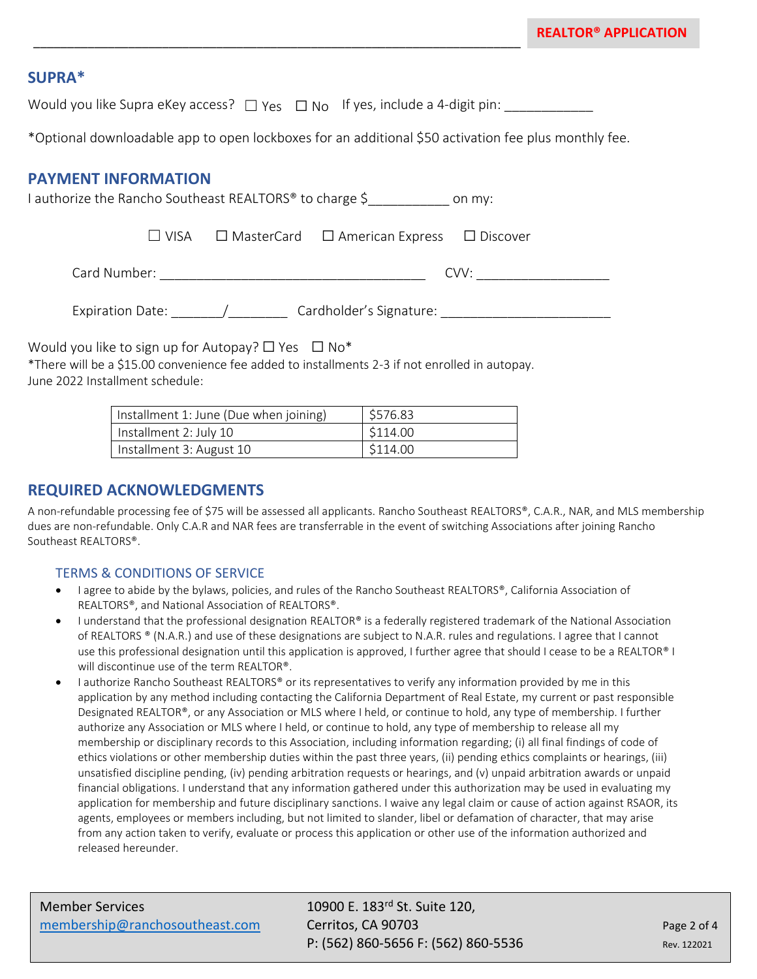# **SUPRA\***

Would you like Supra eKey access?  $\Box$  Yes  $\Box$  No  $\Box$  Yes, include a 4-digit pin: \_\_\_\_\_\_\_\_\_\_\_\_\_

\_\_\_\_\_\_\_\_\_\_\_\_\_\_\_\_\_\_\_\_\_\_\_\_\_\_\_\_\_\_\_\_\_\_\_\_\_\_\_\_\_\_\_\_\_\_\_\_\_\_\_\_\_\_\_\_\_\_\_\_\_\_\_\_\_\_\_\_\_\_\_\_

\*Optional downloadable app to open lockboxes for an additional \$50 activation fee plus monthly fee.

## **PAYMENT INFORMATION**

I authorize the Rancho Southeast REALTORS<sup>®</sup> to charge \$ on my: ☐ VISA ☐ MasterCard ☐ American Express ☐ Discover Card Number: \_\_\_\_\_\_\_\_\_\_\_\_\_\_\_\_\_\_\_\_\_\_\_\_\_\_\_\_\_\_\_\_\_\_\_\_ CVV: \_\_\_\_\_\_\_\_\_\_\_\_\_\_\_\_\_\_ Expiration Date: The Material Cardholder's Signature:  $\sqrt{ }$ 

Would you like to sign up for Autopay?  $\Box$  Yes  $\Box$  No\*

\*There will be a \$15.00 convenience fee added to installments 2-3 if not enrolled in autopay. June 2022 Installment schedule:

| Installment 1: June (Due when joining) | \$576.83            |
|----------------------------------------|---------------------|
| Installment 2: July 10                 | \$114.00            |
| Installment 3: August 10               | $\frac{$114.00}{ }$ |

# **REQUIRED ACKNOWLEDGMENTS**

A non-refundable processing fee of \$75 will be assessed all applicants. Rancho Southeast REALTORS®, C.A.R., NAR, and MLS membership dues are non-refundable. Only C.A.R and NAR fees are transferrable in the event of switching Associations after joining Rancho Southeast REALTORS®.

### TERMS & CONDITIONS OF SERVICE

- I agree to abide by the bylaws, policies, and rules of the Rancho Southeast REALTORS®, California Association of REALTORS®, and National Association of REALTORS®.
- I understand that the professional designation REALTOR® is a federally registered trademark of the National Association of REALTORS ® (N.A.R.) and use of these designations are subject to N.A.R. rules and regulations. I agree that I cannot use this professional designation until this application is approved, I further agree that should I cease to be a REALTOR® I will discontinue use of the term REALTOR®.
- I authorize Rancho Southeast REALTORS® or its representatives to verify any information provided by me in this application by any method including contacting the California Department of Real Estate, my current or past responsible Designated REALTOR®, or any Association or MLS where I held, or continue to hold, any type of membership. I further authorize any Association or MLS where I held, or continue to hold, any type of membership to release all my membership or disciplinary records to this Association, including information regarding; (i) all final findings of code of ethics violations or other membership duties within the past three years, (ii) pending ethics complaints or hearings, (iii) unsatisfied discipline pending, (iv) pending arbitration requests or hearings, and (v) unpaid arbitration awards or unpaid financial obligations. I understand that any information gathered under this authorization may be used in evaluating my application for membership and future disciplinary sanctions. I waive any legal claim or cause of action against RSAOR, its agents, employees or members including, but not limited to slander, libel or defamation of character, that may arise from any action taken to verify, evaluate or process this application or other use of the information authorized and released hereunder.

P: (562) 860-5656 F: (562) 860-5536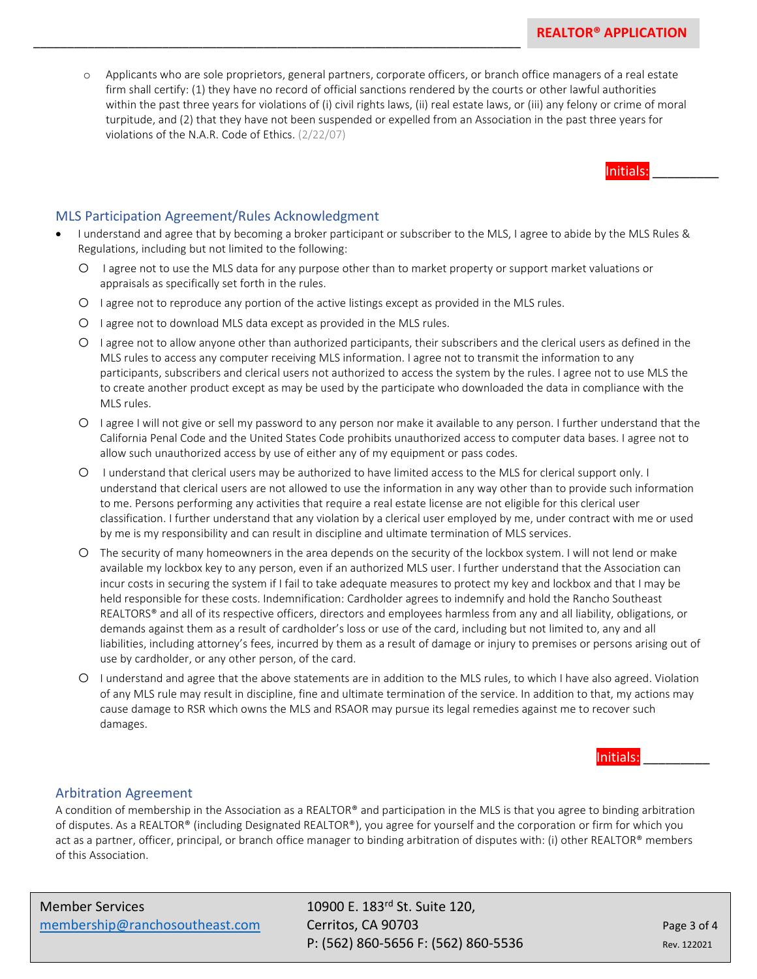Initials:

o Applicants who are sole proprietors, general partners, corporate officers, or branch office managers of a real estate firm shall certify: (1) they have no record of official sanctions rendered by the courts or other lawful authorities within the past three years for violations of (i) civil rights laws, (ii) real estate laws, or (iii) any felony or crime of moral turpitude, and (2) that they have not been suspended or expelled from an Association in the past three years for violations of the N.A.R. Code of Ethics. (2/22/07)

#### MLS Participation Agreement/Rules Acknowledgment

- I understand and agree that by becoming a broker participant or subscriber to the MLS, I agree to abide by the MLS Rules & Regulations, including but not limited to the following:
	- o I agree not to use the MLS data for any purpose other than to market property or support market valuations or appraisals as specifically set forth in the rules.
	- o I agree not to reproduce any portion of the active listings except as provided in the MLS rules.
	- o I agree not to download MLS data except as provided in the MLS rules.

\_\_\_\_\_\_\_\_\_\_\_\_\_\_\_\_\_\_\_\_\_\_\_\_\_\_\_\_\_\_\_\_\_\_\_\_\_\_\_\_\_\_\_\_\_\_\_\_\_\_\_\_\_\_\_\_\_\_\_\_\_\_\_\_\_\_\_\_\_\_\_\_

- o I agree not to allow anyone other than authorized participants, their subscribers and the clerical users as defined in the MLS rules to access any computer receiving MLS information. I agree not to transmit the information to any participants, subscribers and clerical users not authorized to access the system by the rules. I agree not to use MLS the to create another product except as may be used by the participate who downloaded the data in compliance with the MLS rules.
- o I agree I will not give or sell my password to any person nor make it available to any person. I further understand that the California Penal Code and the United States Code prohibits unauthorized access to computer data bases. I agree not to allow such unauthorized access by use of either any of my equipment or pass codes.
- o I understand that clerical users may be authorized to have limited access to the MLS for clerical support only. I understand that clerical users are not allowed to use the information in any way other than to provide such information to me. Persons performing any activities that require a real estate license are not eligible for this clerical user classification. I further understand that any violation by a clerical user employed by me, under contract with me or used by me is my responsibility and can result in discipline and ultimate termination of MLS services.
- o The security of many homeowners in the area depends on the security of the lockbox system. I will not lend or make available my lockbox key to any person, even if an authorized MLS user. I further understand that the Association can incur costs in securing the system if I fail to take adequate measures to protect my key and lockbox and that I may be held responsible for these costs. Indemnification: Cardholder agrees to indemnify and hold the Rancho Southeast REALTORS® and all of its respective officers, directors and employees harmless from any and all liability, obligations, or demands against them as a result of cardholder's loss or use of the card, including but not limited to, any and all liabilities, including attorney's fees, incurred by them as a result of damage or injury to premises or persons arising out of use by cardholder, or any other person, of the card.
- o I understand and agree that the above statements are in addition to the MLS rules, to which I have also agreed. Violation of any MLS rule may result in discipline, fine and ultimate termination of the service. In addition to that, my actions may cause damage to RSR which owns the MLS and RSAOR may pursue its legal remedies against me to recover such damages.

#### Initials: \_\_\_\_\_\_\_\_\_

#### Arbitration Agreement

A condition of membership in the Association as a REALTOR® and participation in the MLS is that you agree to binding arbitration of disputes. As a REALTOR® (including Designated REALTOR®), you agree for yourself and the corporation or firm for which you act as a partner, officer, principal, or branch office manager to binding arbitration of disputes with: (i) other REALTOR® members of this Association.

| Member Services                |  |
|--------------------------------|--|
| membership@ranchosoutheast.com |  |

10900 E. 183rd St. Suite 120. **Cerritos, CA 90703 Page 3 of 4** P: (562) 860-5656 F: (562) 860-5536